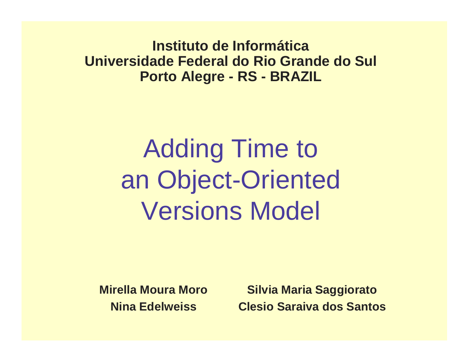**Instituto de Informática Universidade Federal do Rio Grande do SulPorto Alegre - RS - BRAZIL**

# Adding Time to an Object-OrientedVersions Model

**Mirella Moura MoroNina Edelweiss**

**Silvia Maria SaggioratoClesio Saraiva dos Santos**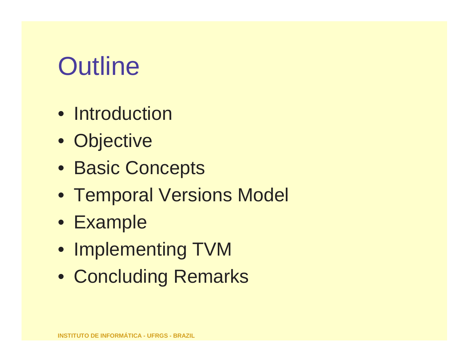# **Outline**

- Introduction
- Objective
- Basic Concepts
- Temporal Versions Model
- Example
- Implementing TVM
- Concluding Remarks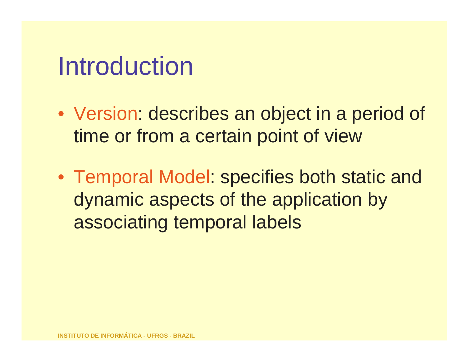## Introduction

- Version: describes an object in a period of time or from <sup>a</sup> certain point of view
- Temporal Model: specifies both static and dynamic aspects of the application by associating temporal labels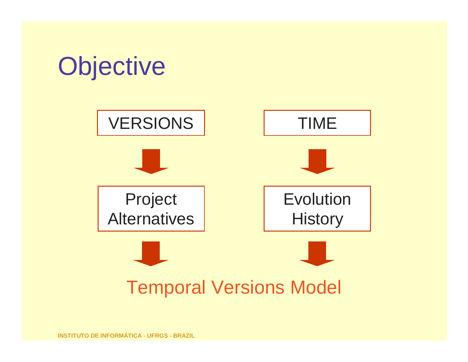

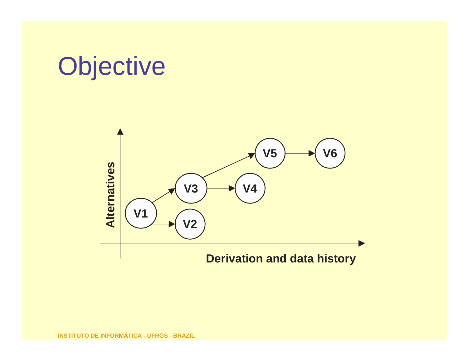## **Objective**

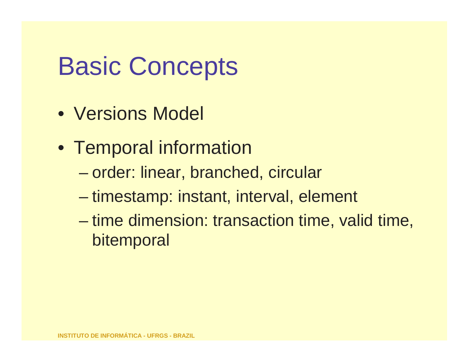## Basic Concepts

- Versions Model
- Temporal information
	- $\mathcal{L}_{\mathcal{A}}$  , the state of the state  $\mathcal{L}_{\mathcal{A}}$ order: linear, branched, circular
	- $\mathcal{L}_{\mathcal{A}}$  , the state of the state  $\mathcal{L}_{\mathcal{A}}$ timestamp: instant, interval, element
	- – time dimension: transaction time, valid time, bitemporal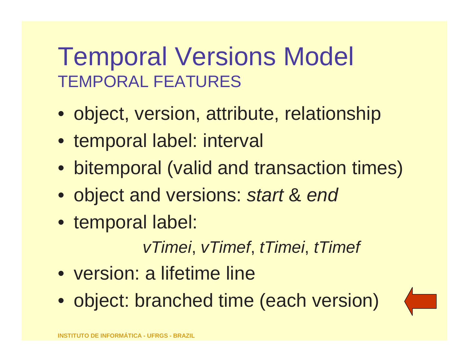## Temporal Versions Model TEMPORAL FEATURES

- object, version, attribute, relationship
- temporal label: interval
- bitemporal (valid and transaction times)
- object and versions: s*tart* & end
- temporal label:

vTimei, vTimef, tTimei, tTimef

- version: a lifetime line
- object: branched time (each version)

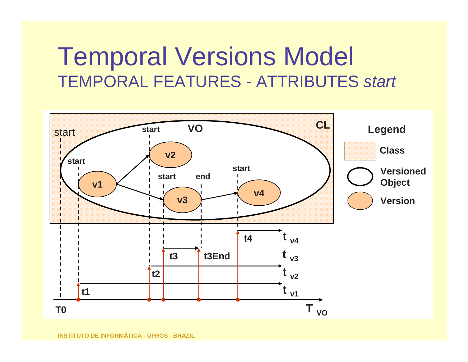## Temporal Versions Model TEMPORAL FEATURES - ATTRIBUTES *start*

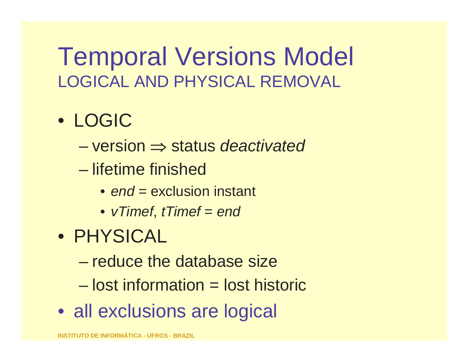## Temporal Versions Model LOGICAL AND PHYSICAL REMOVAL

#### • LOGIC

- –version ⇒ status *deactivated*
- $\mathcal{L}_{\mathcal{A}}$  , where  $\mathcal{L}_{\mathcal{A}}$  is the set of the set of the set of the set of the set of the set of the set of the set of the set of the set of the set of the set of the set of the set of the set of the set of the lifetime finished
	- *end* = exclusion instant
	- $\bullet\,$  vTimef, tTimef = <code>end</code>
- PHYSICAL
	- –reduce the database size
	- $\mathcal{L}_{\mathcal{A}}$  , where  $\mathcal{L}_{\mathcal{A}}$  is the set of the set of the set of the set of the set of the set of the set of the set of the set of the set of the set of the set of the set of the set of the set of the set of the lost information = lost historic
- all exclusions are logical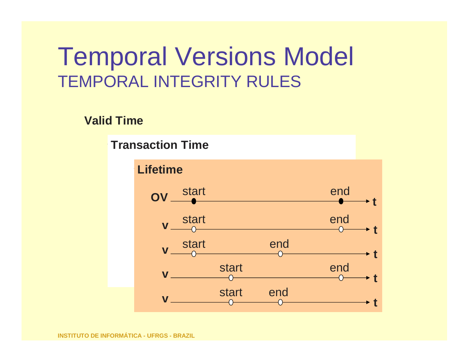#### Temporal Versions Model TEMPORAL INTEGRITY RULES

#### **Valid Time**

near **VTransaction Time**

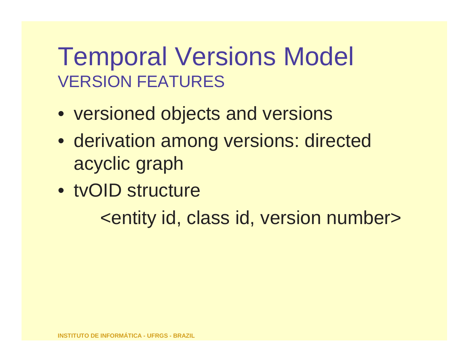## Temporal Versions Model VERSION FEATURES

- versioned objects and versions
- derivation among versions: directed acyclic graph
- tvOID structure

<entity id, class id, version number>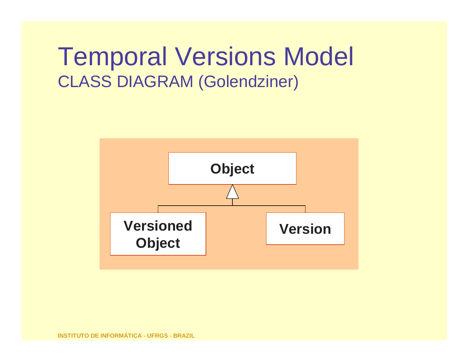## Temporal Versions Model CLASS DIAGRAM (Golendziner)

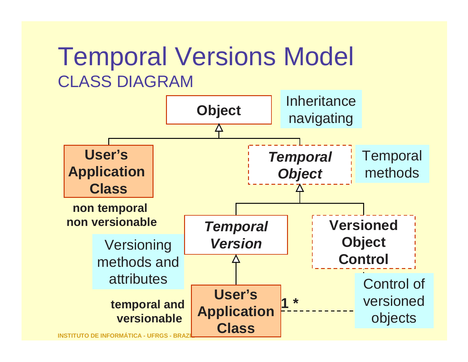#### Temporal Versions Model CLASS DIAGRAM

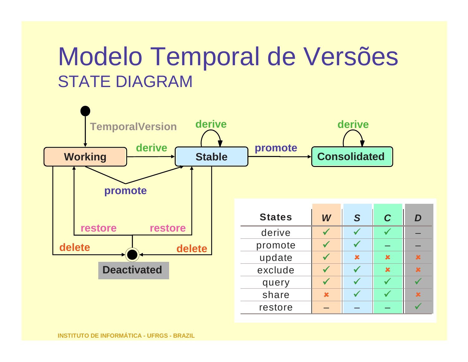## Modelo Temporal de VersõesSTATE DIAGRAM



restore –

 $\checkmark$ 

 $\sqrt{ }$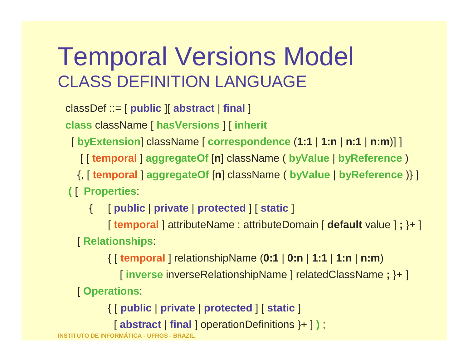## Temporal Versions Model CLASS DEFINITION LANGUAGE

classDef ::= [ **public** ][ **abstract** | **final** ]

**class** className [ **hasVersions** ] [ **inherit**

[ **byExtension**] className [ **correspondence** (**1:1** | **1:n** | **n:1** | **n:m**)] ]

[ [ **temporal** ] **aggregateOf** [**n**] className ( **byValue** | **byReference** )

{, [ **temporal** ] **aggregateOf** [**n**] className ( **byValue** | **byReference** )} ]

**(** [ **Properties**:

{ [ **public** | **private** | **protected** ] [ **static** ]

[ **temporal** ] attributeName : attributeDomain [ **default** value ] **;** }+ ] [ **Relationships**:

{ [ **temporal** ] relationshipName (**0:1** | **0:n** | **1:1** | **1:n** | **n:m**)

[ **inverse** inverseRelationshipName ] relatedClassName **;** }+ ]

[ **Operations**:

{ [ **public** | **private** | **protected** ] [ **static** ]

[ **abstract** | **final** ] operationDefinitions }+ ] **)** ;

**INSTITUTO DE INFORMÁTICA - UFRGS - BRAZIL**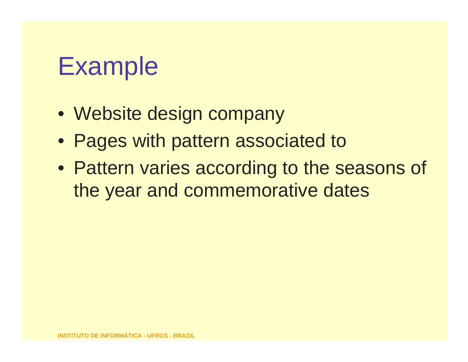## Example

- Website design company
- Pages with pattern associated to
- Pattern varies according to the seasons of the year and commemorative dates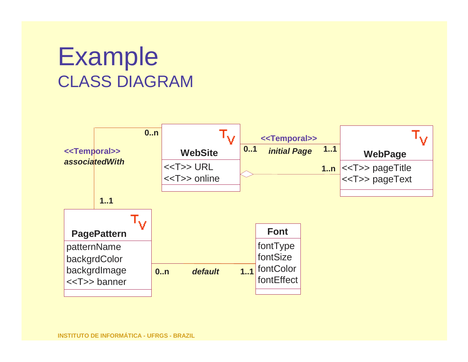## ExampleCLASS DIAGRAM

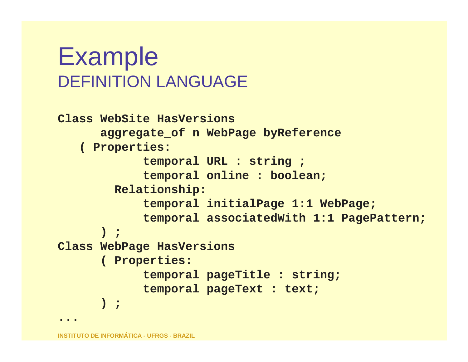## ExampleDEFINITION LANGUAGE

```
Class WebSite HasVersions 
aggregate_of n WebPage byReference
   ( Properties:
            temporal URL : string ;
temporal online : boolean;
        Relationship:
temporal initialPage 1:1 WebPage;
            temporal associatedWith 1:1 PagePattern;
      ) ;
Class WebPage HasVersions( Properties:
            temporal pageTitle : string;
            temporal pageText : text; 
      ) ;...
```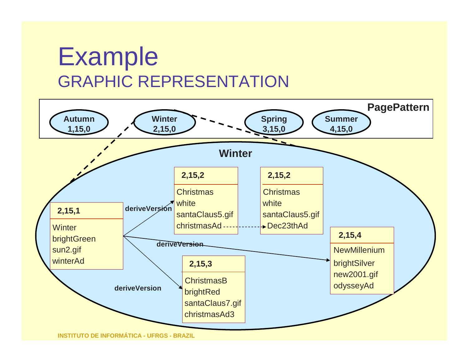## ExampleGRAPHIC REPRESENTATION

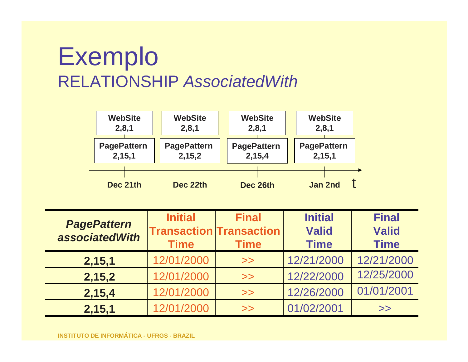## ExemploRELATIONSHIP AssociatedWith



| <b>PagePattern</b><br><b>associatedWith</b> | <b>Initial</b><br><b>Time</b> | <b>Final</b><br><b>Transaction Transaction</b><br><b>Time</b> | <b>Initial</b><br><b>Valid</b><br><b>Time</b> | <b>Final</b><br><b>Valid</b><br><b>Time</b> |
|---------------------------------------------|-------------------------------|---------------------------------------------------------------|-----------------------------------------------|---------------------------------------------|
| 2,15,1                                      | 12/01/2000                    | >>                                                            | 12/21/2000                                    | 12/21/2000                                  |
| 2,15,2                                      | 12/01/2000                    | >>                                                            | 12/22/2000                                    | 12/25/2000                                  |
| 2,15,4                                      | 12/01/2000                    | >>                                                            | 12/26/2000                                    | 01/01/2001                                  |
| 2,15,1                                      | 12/01/2000                    | >>                                                            | 01/02/2001                                    | >>                                          |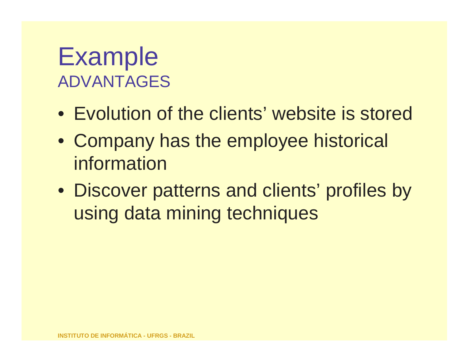## ExampleADVANTAGES

- Evolution of the clients' website is stored
- Company has the employee historical information
- Discover patterns and clients' profiles by using data mining techniques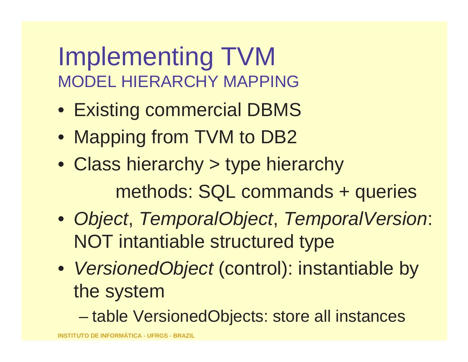## Implementing TVMMODEL HIERARCHY MAPPING

- Existing commercial DBMS
- Mapping from TVM to DB2
- Class hierarchy > type hierarchy methods: SQL commands + queries
- Object, TemporalObject, TemporalVersion: NOT intantiable structured type
- VersionedObject (control): instantiable by the system
	- tania vz table VersionedObjects: store all instances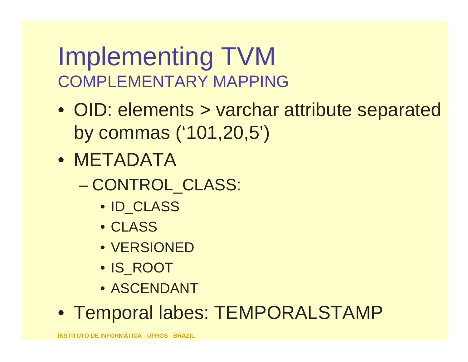## Implementing TVMCOMPLEMENTARY MAPPING

- OID: elements > varchar attribute separated by commas ('101,20,5')
- METADATA
	- – CONTROL\_CLASS:
		- ID\_CLASS
		- CLASS
		- VERSIONED
		- IS\_ROOT
		- ASCENDANT
- Temporal labes: TEMPORALSTAMP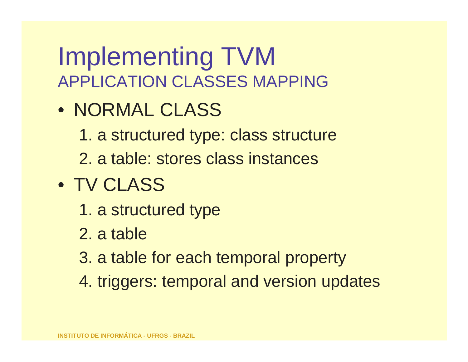## Implementing TVMAPPLICATION CLASSES MAPPING

- NORMAL CLASS
	- 1. a structured type: class structure
	- 2. a table: stores class instances
- TV CLASS
	- 1. a structured type
	- 2. a table
	- 3. a table for each temporal property
	- 4. triggers: temporal and version updates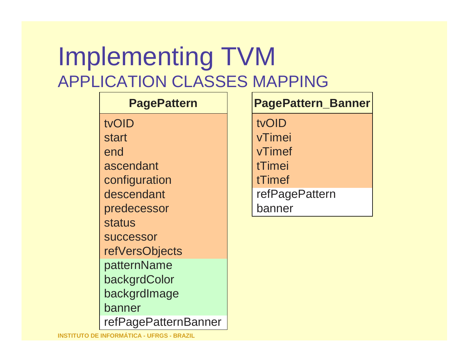## Implementing TVMAPPLICATION CLASSES MAPPING

#### tvOID startend ascendantconfiguration descendantpredecessorstatus successor refVersObjectspatternName backgrdColor backgrdImagebannerrefPagePatternBanner**PagePattern**

 **PagePattern\_Banner** tvOID vTimeivTimeftTimeitTimefrefPagePatternbanner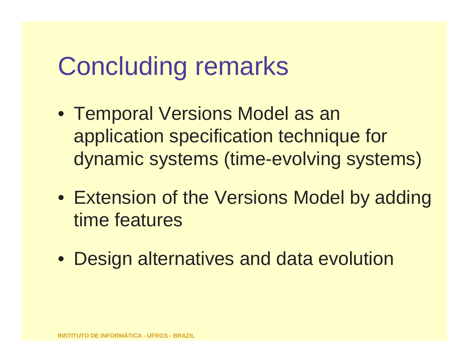# Concluding remarks

- Temporal Versions Model as an application specification technique fordynamic systems (time-evolving systems)
- Extension of the Versions Model by addingtime features
- Design alternatives and data evolution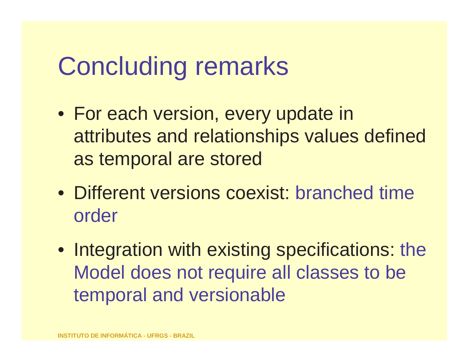# Concluding remarks

- For each version, every update in attributes and relationships values definedas temporal are stored
- Different versions coexist: branched timeorder
- Integration with existing specifications: the Model does not require all classes to betemporal and versionable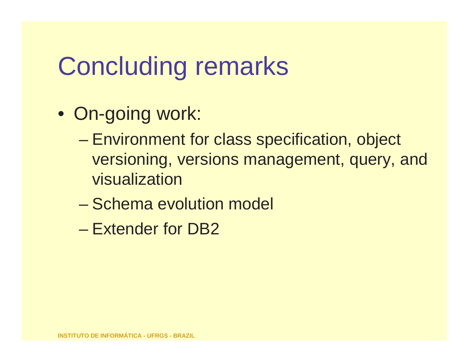# Concluding remarks

- On-going work:
	- Environment for class specification, object versioning, versions management, query, and visualization
	- $\mathcal{L}_{\mathcal{A}}$  , where  $\mathcal{L}_{\mathcal{A}}$  is the set of the set of the set of the set of the set of the set of the set of the set of the set of the set of the set of the set of the set of the set of the set of the set of the Schema evolution model
	- $\mathcal{L}_{\mathcal{A}}$  , where  $\mathcal{L}_{\mathcal{A}}$  is the set of the set of the set of the set of the set of the set of the set of the set of the set of the set of the set of the set of the set of the set of the set of the set of the Extender for DB2